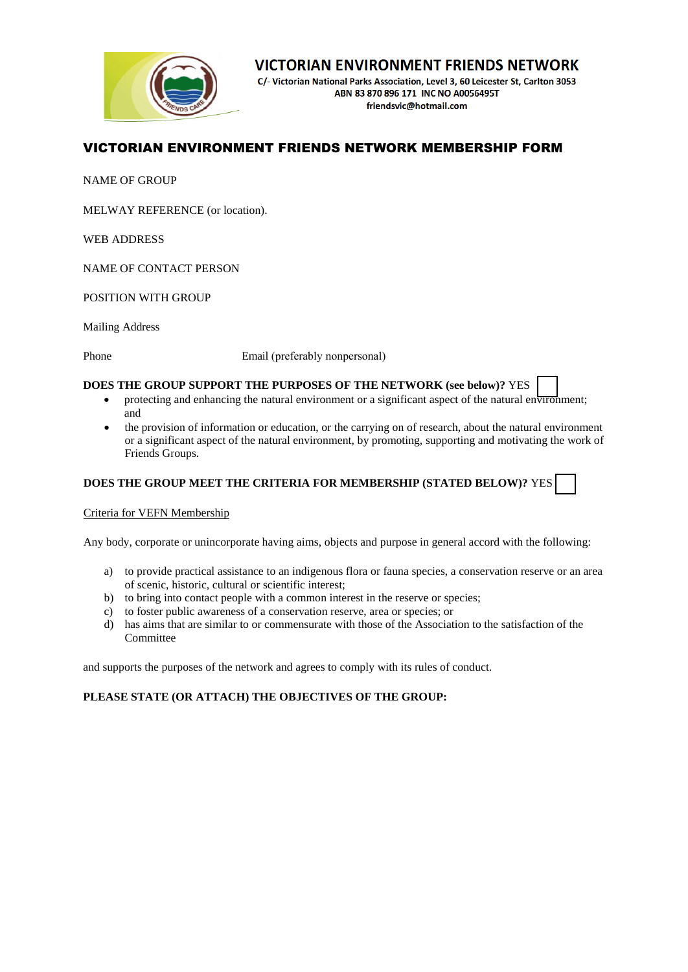

# **VICTORIAN ENVIRONMENT FRIENDS NETWORK**

C/- Victorian National Parks Association, Level 3, 60 Leicester St, Carlton 3053 ABN 83 870 896 171 INC NO A0056495T friendsvic@hotmail.com

# VICTORIAN ENVIRONMENT FRIENDS NETWORK MEMBERSHIP FORM

NAME OF GROUP

MELWAY REFERENCE (or location).

WEB ADDRESS

NAME OF CONTACT PERSON

POSITION WITH GROUP

Mailing Address

Phone Email (preferably nonpersonal)

### **DOES THE GROUP SUPPORT THE PURPOSES OF THE NETWORK (see below)?** YES

- protecting and enhancing the natural environment or a significant aspect of the natural environment; and
- the provision of information or education, or the carrying on of research, about the natural environment or a significant aspect of the natural environment, by promoting, supporting and motivating the work of Friends Groups.

# **DOES THE GROUP MEET THE CRITERIA FOR MEMBERSHIP (STATED BELOW)?** YES

Criteria for VEFN Membership

Any body, corporate or unincorporate having aims, objects and purpose in general accord with the following:

- a) to provide practical assistance to an indigenous flora or fauna species, a conservation reserve or an area of scenic, historic, cultural or scientific interest;
- b) to bring into contact people with a common interest in the reserve or species;
- c) to foster public awareness of a conservation reserve, area or species; or
- d) has aims that are similar to or commensurate with those of the Association to the satisfaction of the Committee

and supports the purposes of the network and agrees to comply with its rules of conduct.

# **PLEASE STATE (OR ATTACH) THE OBJECTIVES OF THE GROUP:**